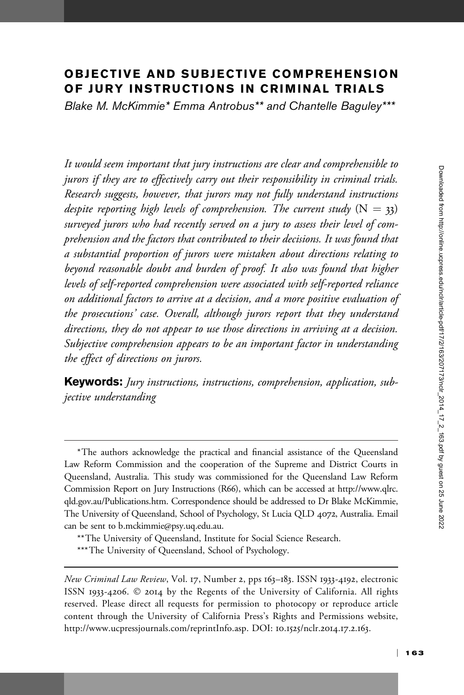# OBJECTIVE AND SUBJECTIVE COMPREHENSION OF JURY INSTRUCTIONS IN CRIMINAL TRIALS

Blake M. McKimmie\* Emma Antrobus\*\* and Chantelle Baguley\*\*\*

It would seem important that jury instructions are clear and comprehensible to jurors if they are to effectively carry out their responsibility in criminal trials. Research suggests, however, that jurors may not fully understand instructions despite reporting high levels of comprehension. The current study  $(N = 33)$ surveyed jurors who had recently served on a jury to assess their level of comprehension and the factors that contributed to their decisions. It was found that a substantial proportion of jurors were mistaken about directions relating to beyond reasonable doubt and burden of proof. It also was found that higher levels of self-reported comprehension were associated with self-reported reliance on additional factors to arrive at a decision, and a more positive evaluation of the prosecutions' case. Overall, although jurors report that they understand directions, they do not appear to use those directions in arriving at a decision. Subjective comprehension appears to be an important factor in understanding the effect of directions on jurors.

**Keywords:** Jury instructions, instructions, comprehension, application, subjective understanding

\*The authors acknowledge the practical and financial assistance of the Queensland Law Reform Commission and the cooperation of the Supreme and District Courts in Queensland, Australia. This study was commissioned for the Queensland Law Reform Commission Report on Jury Instructions (R66), which can be accessed at [http://www.qlrc.](http://www.qlrc.qld.gov.au/Publications.htm) [qld.gov.au/Publications.htm.](http://www.qlrc.qld.gov.au/Publications.htm) Correspondence should be addressed to Dr Blake McKimmie, The University of Queensland, School of Psychology, St Lucia QLD 4072, Australia. Email can be sent to b.mckimmie@psy.uq.edu.au.

\*\*The University of Queensland, Institute for Social Science Research.

\*\*\*The University of Queensland, School of Psychology.

New Criminal Law Review, Vol. 17, Number 2, pps 163–183. ISSN 1933-4192, electronic ISSN 1933-4206. © 2014 by the Regents of the University of California. All rights reserved. Please direct all requests for permission to photocopy or reproduce article content through the University of California Press's Rights and Permissions website, http://www.ucpressjournals.com/reprintInfo.asp. DOI: 10.1525/nclr.2014.17.2.163.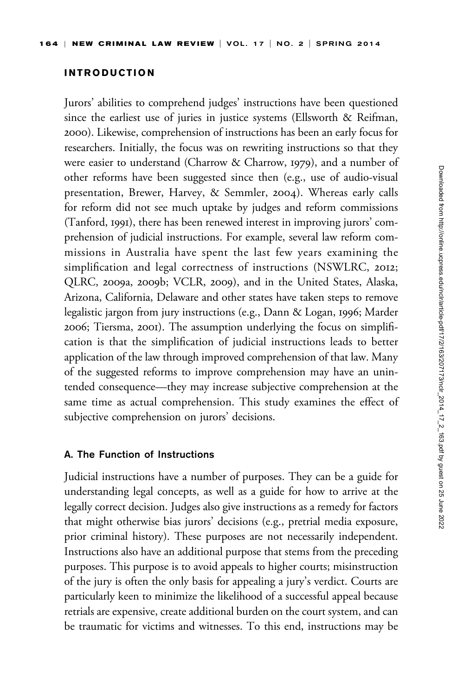#### INTRODUCTION

Jurors' abilities to comprehend judges' instructions have been questioned since the earliest use of juries in justice systems (Ellsworth & Reifman, 2000). Likewise, comprehension of instructions has been an early focus for researchers. Initially, the focus was on rewriting instructions so that they were easier to understand (Charrow & Charrow, 1979), and a number of other reforms have been suggested since then (e.g., use of audio-visual presentation, Brewer, Harvey, & Semmler, 2004). Whereas early calls for reform did not see much uptake by judges and reform commissions (Tanford, 1991), there has been renewed interest in improving jurors' comprehension of judicial instructions. For example, several law reform commissions in Australia have spent the last few years examining the simplification and legal correctness of instructions (NSWLRC, 2012; QLRC, 2009a, 2009b; VCLR, 2009), and in the United States, Alaska, Arizona, California, Delaware and other states have taken steps to remove legalistic jargon from jury instructions (e.g., Dann & Logan, 1996; Marder 2006; Tiersma, 2001). The assumption underlying the focus on simplification is that the simplification of judicial instructions leads to better application of the law through improved comprehension of that law. Many of the suggested reforms to improve comprehension may have an unintended consequence—they may increase subjective comprehension at the same time as actual comprehension. This study examines the effect of subjective comprehension on jurors' decisions.

### A. The Function of Instructions

Judicial instructions have a number of purposes. They can be a guide for understanding legal concepts, as well as a guide for how to arrive at the legally correct decision. Judges also give instructions as a remedy for factors that might otherwise bias jurors' decisions (e.g., pretrial media exposure, prior criminal history). These purposes are not necessarily independent. Instructions also have an additional purpose that stems from the preceding purposes. This purpose is to avoid appeals to higher courts; misinstruction of the jury is often the only basis for appealing a jury's verdict. Courts are particularly keen to minimize the likelihood of a successful appeal because retrials are expensive, create additional burden on the court system, and can be traumatic for victims and witnesses. To this end, instructions may be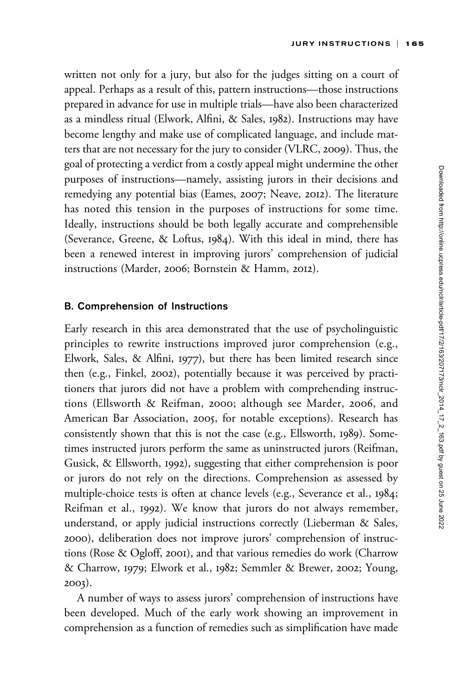written not only for a jury, but also for the judges sitting on a court of appeal. Perhaps as a result of this, pattern instructions—those instructions prepared in advance for use in multiple trials—have also been characterized as a mindless ritual (Elwork, Alfini, & Sales, 1982). Instructions may have become lengthy and make use of complicated language, and include matters that are not necessary for the jury to consider (VLRC, 2009). Thus, the goal of protecting a verdict from a costly appeal might undermine the other purposes of instructions—namely, assisting jurors in their decisions and remedying any potential bias (Eames, 2007; Neave, 2012). The literature has noted this tension in the purposes of instructions for some time. Ideally, instructions should be both legally accurate and comprehensible (Severance, Greene, & Loftus, 1984). With this ideal in mind, there has been a renewed interest in improving jurors' comprehension of judicial instructions (Marder, 2006; Bornstein & Hamm, 2012).

#### B. Comprehension of Instructions

Early research in this area demonstrated that the use of psycholinguistic principles to rewrite instructions improved juror comprehension (e.g., Elwork, Sales, & Alfini, 1977), but there has been limited research since then (e.g., Finkel, 2002), potentially because it was perceived by practitioners that jurors did not have a problem with comprehending instructions (Ellsworth & Reifman, 2000; although see Marder, 2006, and American Bar Association, 2005, for notable exceptions). Research has consistently shown that this is not the case (e.g., Ellsworth, 1989). Sometimes instructed jurors perform the same as uninstructed jurors (Reifman, Gusick, & Ellsworth, 1992), suggesting that either comprehension is poor or jurors do not rely on the directions. Comprehension as assessed by multiple-choice tests is often at chance levels (e.g., Severance et al., 1984; Reifman et al., 1992). We know that jurors do not always remember, understand, or apply judicial instructions correctly (Lieberman & Sales, 2000), deliberation does not improve jurors' comprehension of instructions (Rose & Ogloff, 2001), and that various remedies do work (Charrow & Charrow, 1979; Elwork et al., 1982; Semmler & Brewer, 2002; Young, 2003).

A number of ways to assess jurors' comprehension of instructions have been developed. Much of the early work showing an improvement in comprehension as a function of remedies such as simplification have made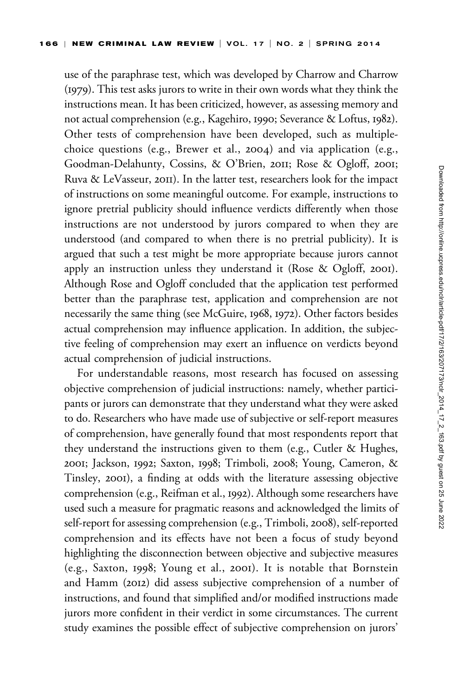use of the paraphrase test, which was developed by Charrow and Charrow (1979). This test asks jurors to write in their own words what they think the instructions mean. It has been criticized, however, as assessing memory and not actual comprehension (e.g., Kagehiro, 1990; Severance & Loftus, 1982). Other tests of comprehension have been developed, such as multiplechoice questions (e.g., Brewer et al., 2004) and via application (e.g., Goodman-Delahunty, Cossins, & O'Brien, 2011; Rose & Ogloff, 2001; Ruva & LeVasseur, 2011). In the latter test, researchers look for the impact of instructions on some meaningful outcome. For example, instructions to ignore pretrial publicity should influence verdicts differently when those instructions are not understood by jurors compared to when they are understood (and compared to when there is no pretrial publicity). It is argued that such a test might be more appropriate because jurors cannot apply an instruction unless they understand it (Rose & Ogloff, 2001). Although Rose and Ogloff concluded that the application test performed better than the paraphrase test, application and comprehension are not necessarily the same thing (see McGuire, 1968, 1972). Other factors besides actual comprehension may influence application. In addition, the subjective feeling of comprehension may exert an influence on verdicts beyond actual comprehension of judicial instructions.

For understandable reasons, most research has focused on assessing objective comprehension of judicial instructions: namely, whether participants or jurors can demonstrate that they understand what they were asked to do. Researchers who have made use of subjective or self-report measures of comprehension, have generally found that most respondents report that they understand the instructions given to them (e.g., Cutler & Hughes, 2001; Jackson, 1992; Saxton, 1998; Trimboli, 2008; Young, Cameron, & Tinsley, 2001), a finding at odds with the literature assessing objective comprehension (e.g., Reifman et al., 1992). Although some researchers have used such a measure for pragmatic reasons and acknowledged the limits of self-report for assessing comprehension (e.g., Trimboli, 2008), self-reported comprehension and its effects have not been a focus of study beyond highlighting the disconnection between objective and subjective measures (e.g., Saxton, 1998; Young et al., 2001). It is notable that Bornstein and Hamm (2012) did assess subjective comprehension of a number of instructions, and found that simplified and/or modified instructions made jurors more confident in their verdict in some circumstances. The current study examines the possible effect of subjective comprehension on jurors'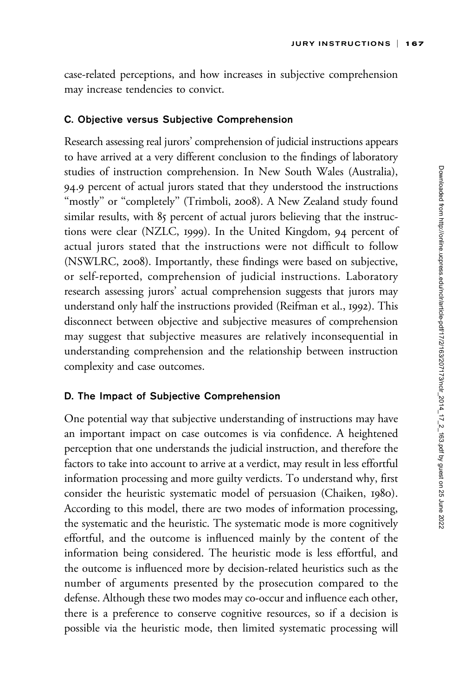case-related perceptions, and how increases in subjective comprehension may increase tendencies to convict.

## C. Objective versus Subjective Comprehension

Research assessing real jurors' comprehension of judicial instructions appears to have arrived at a very different conclusion to the findings of laboratory studies of instruction comprehension. In New South Wales (Australia), 94.9 percent of actual jurors stated that they understood the instructions "mostly" or "completely" (Trimboli, 2008). A New Zealand study found similar results, with 85 percent of actual jurors believing that the instructions were clear (NZLC, 1999). In the United Kingdom, 94 percent of actual jurors stated that the instructions were not difficult to follow (NSWLRC, 2008). Importantly, these findings were based on subjective, or self-reported, comprehension of judicial instructions. Laboratory research assessing jurors' actual comprehension suggests that jurors may understand only half the instructions provided (Reifman et al., 1992). This disconnect between objective and subjective measures of comprehension may suggest that subjective measures are relatively inconsequential in understanding comprehension and the relationship between instruction complexity and case outcomes.

### D. The Impact of Subjective Comprehension

One potential way that subjective understanding of instructions may have an important impact on case outcomes is via confidence. A heightened perception that one understands the judicial instruction, and therefore the factors to take into account to arrive at a verdict, may result in less effortful information processing and more guilty verdicts. To understand why, first consider the heuristic systematic model of persuasion (Chaiken, 1980). According to this model, there are two modes of information processing, the systematic and the heuristic. The systematic mode is more cognitively effortful, and the outcome is influenced mainly by the content of the information being considered. The heuristic mode is less effortful, and the outcome is influenced more by decision-related heuristics such as the number of arguments presented by the prosecution compared to the defense. Although these two modes may co-occur and influence each other, there is a preference to conserve cognitive resources, so if a decision is possible via the heuristic mode, then limited systematic processing will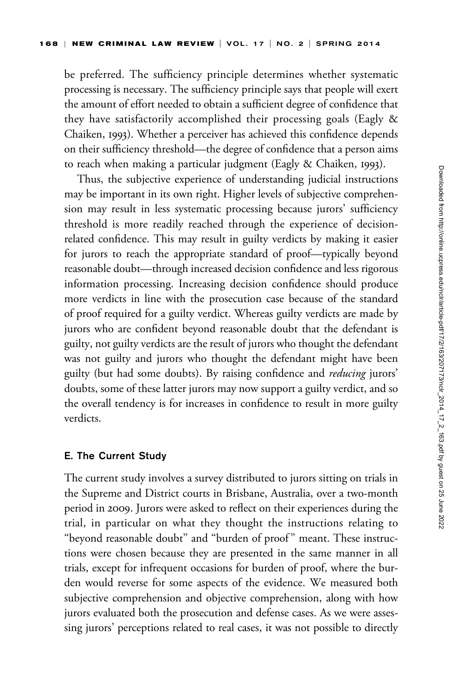be preferred. The sufficiency principle determines whether systematic processing is necessary. The sufficiency principle says that people will exert the amount of effort needed to obtain a sufficient degree of confidence that they have satisfactorily accomplished their processing goals (Eagly & Chaiken, 1993). Whether a perceiver has achieved this confidence depends on their sufficiency threshold—the degree of confidence that a person aims to reach when making a particular judgment (Eagly & Chaiken, 1993).

Thus, the subjective experience of understanding judicial instructions may be important in its own right. Higher levels of subjective comprehension may result in less systematic processing because jurors' sufficiency threshold is more readily reached through the experience of decisionrelated confidence. This may result in guilty verdicts by making it easier for jurors to reach the appropriate standard of proof—typically beyond reasonable doubt—through increased decision confidence and less rigorous information processing. Increasing decision confidence should produce more verdicts in line with the prosecution case because of the standard of proof required for a guilty verdict. Whereas guilty verdicts are made by jurors who are confident beyond reasonable doubt that the defendant is guilty, not guilty verdicts are the result of jurors who thought the defendant was not guilty and jurors who thought the defendant might have been guilty (but had some doubts). By raising confidence and reducing jurors' doubts, some of these latter jurors may now support a guilty verdict, and so the overall tendency is for increases in confidence to result in more guilty verdicts.

### E. The Current Study

The current study involves a survey distributed to jurors sitting on trials in the Supreme and District courts in Brisbane, Australia, over a two-month period in 2009. Jurors were asked to reflect on their experiences during the trial, in particular on what they thought the instructions relating to "beyond reasonable doubt" and "burden of proof" meant. These instructions were chosen because they are presented in the same manner in all trials, except for infrequent occasions for burden of proof, where the burden would reverse for some aspects of the evidence. We measured both subjective comprehension and objective comprehension, along with how jurors evaluated both the prosecution and defense cases. As we were assessing jurors' perceptions related to real cases, it was not possible to directly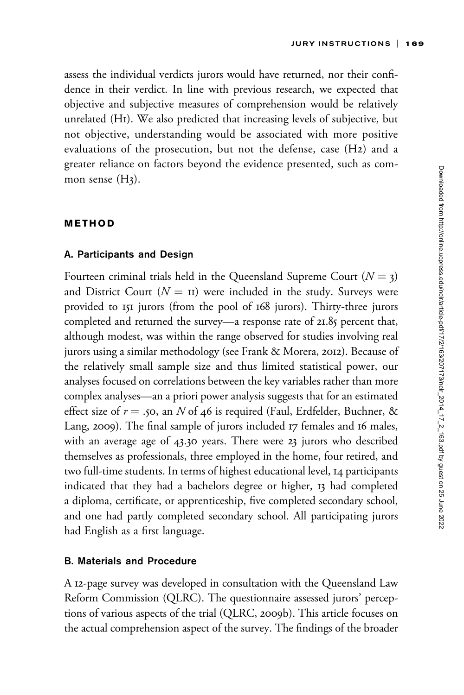assess the individual verdicts jurors would have returned, nor their confidence in their verdict. In line with previous research, we expected that objective and subjective measures of comprehension would be relatively unrelated (H1). We also predicted that increasing levels of subjective, but not objective, understanding would be associated with more positive evaluations of the prosecution, but not the defense, case (H2) and a greater reliance on factors beyond the evidence presented, such as common sense  $(H<sub>3</sub>)$ .

### METHOD

#### A. Participants and Design

Fourteen criminal trials held in the Queensland Supreme Court  $(N = 3)$ and District Court ( $N = \text{II}$ ) were included in the study. Surveys were provided to 151 jurors (from the pool of 168 jurors). Thirty-three jurors completed and returned the survey—a response rate of 21.85 percent that, although modest, was within the range observed for studies involving real jurors using a similar methodology (see Frank & Morera, 2012). Because of the relatively small sample size and thus limited statistical power, our analyses focused on correlations between the key variables rather than more complex analyses—an a priori power analysis suggests that for an estimated effect size of  $r = .50$ , an N of 46 is required (Faul, Erdfelder, Buchner, & Lang, 2009). The final sample of jurors included 17 females and 16 males, with an average age of 43.30 years. There were 23 jurors who described themselves as professionals, three employed in the home, four retired, and two full-time students. In terms of highest educational level, 14 participants indicated that they had a bachelors degree or higher, 13 had completed a diploma, certificate, or apprenticeship, five completed secondary school, and one had partly completed secondary school. All participating jurors had English as a first language.

#### B. Materials and Procedure

A 12-page survey was developed in consultation with the Queensland Law Reform Commission (QLRC). The questionnaire assessed jurors' perceptions of various aspects of the trial (QLRC, 2009b). This article focuses on the actual comprehension aspect of the survey. The findings of the broader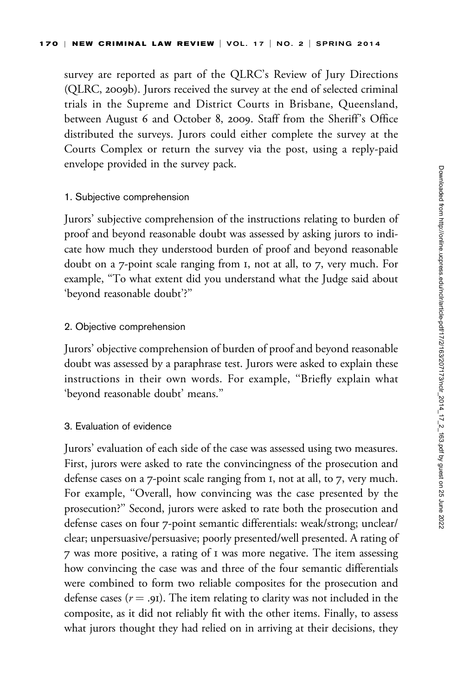survey are reported as part of the QLRC's Review of Jury Directions (QLRC, 2009b). Jurors received the survey at the end of selected criminal trials in the Supreme and District Courts in Brisbane, Queensland, between August 6 and October 8, 2009. Staff from the Sheriff's Office distributed the surveys. Jurors could either complete the survey at the Courts Complex or return the survey via the post, using a reply-paid envelope provided in the survey pack.

### 1. Subjective comprehension

Jurors' subjective comprehension of the instructions relating to burden of proof and beyond reasonable doubt was assessed by asking jurors to indicate how much they understood burden of proof and beyond reasonable doubt on a 7-point scale ranging from 1, not at all, to 7, very much. For example, ''To what extent did you understand what the Judge said about 'beyond reasonable doubt'?''

### 2. Objective comprehension

Jurors' objective comprehension of burden of proof and beyond reasonable doubt was assessed by a paraphrase test. Jurors were asked to explain these instructions in their own words. For example, ''Briefly explain what 'beyond reasonable doubt' means.''

# 3. Evaluation of evidence

Jurors' evaluation of each side of the case was assessed using two measures. First, jurors were asked to rate the convincingness of the prosecution and defense cases on a 7-point scale ranging from 1, not at all, to 7, very much. For example, ''Overall, how convincing was the case presented by the prosecution?'' Second, jurors were asked to rate both the prosecution and defense cases on four 7-point semantic differentials: weak/strong; unclear/ clear; unpersuasive/persuasive; poorly presented/well presented. A rating of 7 was more positive, a rating of 1 was more negative. The item assessing how convincing the case was and three of the four semantic differentials were combined to form two reliable composites for the prosecution and defense cases  $(r = .91)$ . The item relating to clarity was not included in the composite, as it did not reliably fit with the other items. Finally, to assess what jurors thought they had relied on in arriving at their decisions, they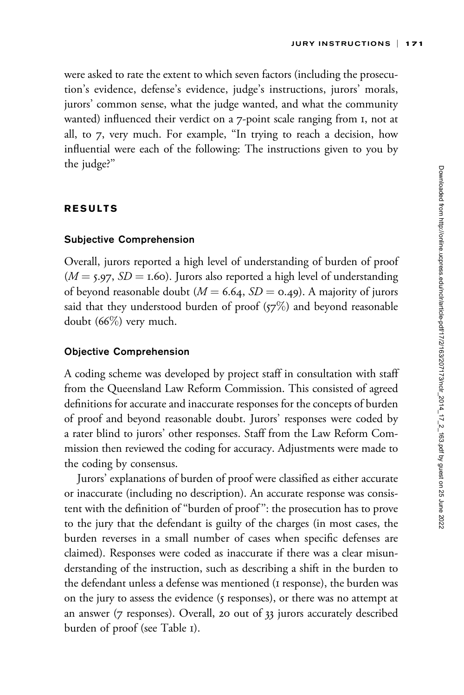were asked to rate the extent to which seven factors (including the prosecution's evidence, defense's evidence, judge's instructions, jurors' morals, jurors' common sense, what the judge wanted, and what the community wanted) influenced their verdict on a 7-point scale ranging from 1, not at all, to 7, very much. For example, ''In trying to reach a decision, how influential were each of the following: The instructions given to you by the judge?''

### RESULTS

#### Subjective Comprehension

Overall, jurors reported a high level of understanding of burden of proof  $(M = 5.97, SD = 1.60)$ . Jurors also reported a high level of understanding of beyond reasonable doubt ( $M = 6.64$ ,  $SD = 0.49$ ). A majority of jurors said that they understood burden of proof  $(57\%)$  and beyond reasonable doubt (66%) very much.

### Objective Comprehension

A coding scheme was developed by project staff in consultation with staff from the Queensland Law Reform Commission. This consisted of agreed definitions for accurate and inaccurate responses for the concepts of burden of proof and beyond reasonable doubt. Jurors' responses were coded by a rater blind to jurors' other responses. Staff from the Law Reform Commission then reviewed the coding for accuracy. Adjustments were made to the coding by consensus.

Jurors' explanations of burden of proof were classified as either accurate or inaccurate (including no description). An accurate response was consistent with the definition of ''burden of proof '': the prosecution has to prove to the jury that the defendant is guilty of the charges (in most cases, the burden reverses in a small number of cases when specific defenses are claimed). Responses were coded as inaccurate if there was a clear misunderstanding of the instruction, such as describing a shift in the burden to the defendant unless a defense was mentioned (1 response), the burden was on the jury to assess the evidence (5 responses), or there was no attempt at an answer (7 responses). Overall, 20 out of 33 jurors accurately described burden of proof (see Table 1).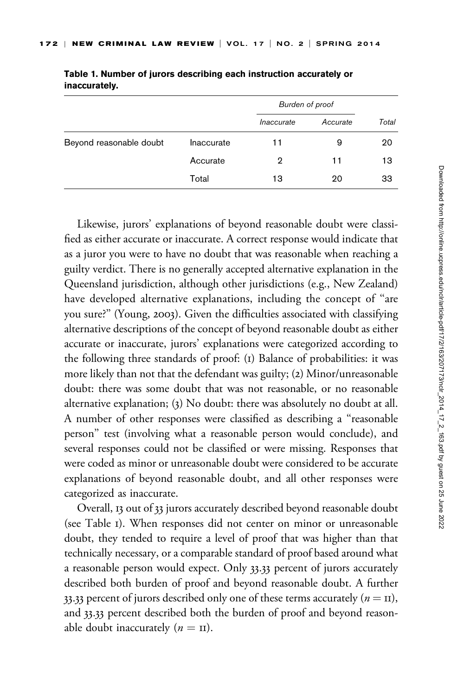|                         |            | Burden of proof |          |       |
|-------------------------|------------|-----------------|----------|-------|
|                         |            | Inaccurate      | Accurate | Total |
| Beyond reasonable doubt | Inaccurate | 11              | 9        | 20    |
|                         | Accurate   | 2               | 11       | 13    |
|                         | Total      | 13              | 20       | 33    |

Table 1. Number of jurors describing each instruction accurately or inaccurately.

Likewise, jurors' explanations of beyond reasonable doubt were classified as either accurate or inaccurate. A correct response would indicate that as a juror you were to have no doubt that was reasonable when reaching a guilty verdict. There is no generally accepted alternative explanation in the Queensland jurisdiction, although other jurisdictions (e.g., New Zealand) have developed alternative explanations, including the concept of ''are you sure?'' (Young, 2003). Given the difficulties associated with classifying alternative descriptions of the concept of beyond reasonable doubt as either accurate or inaccurate, jurors' explanations were categorized according to the following three standards of proof: (1) Balance of probabilities: it was more likely than not that the defendant was guilty; (2) Minor/unreasonable doubt: there was some doubt that was not reasonable, or no reasonable alternative explanation; (3) No doubt: there was absolutely no doubt at all. A number of other responses were classified as describing a ''reasonable person'' test (involving what a reasonable person would conclude), and several responses could not be classified or were missing. Responses that were coded as minor or unreasonable doubt were considered to be accurate explanations of beyond reasonable doubt, and all other responses were categorized as inaccurate.

Overall, 13 out of 33 jurors accurately described beyond reasonable doubt (see Table 1). When responses did not center on minor or unreasonable doubt, they tended to require a level of proof that was higher than that technically necessary, or a comparable standard of proof based around what a reasonable person would expect. Only 33.33 percent of jurors accurately described both burden of proof and beyond reasonable doubt. A further 33.33 percent of jurors described only one of these terms accurately  $(n = \text{II})$ , and 33.33 percent described both the burden of proof and beyond reasonable doubt inaccurately  $(n = \text{II}).$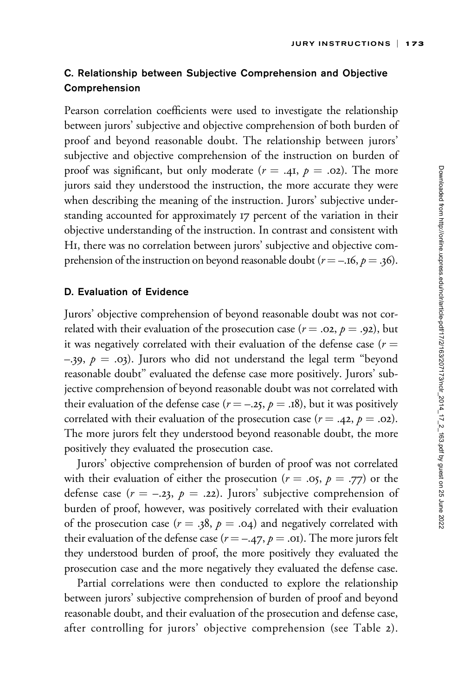# C. Relationship between Subjective Comprehension and Objective Comprehension

Pearson correlation coefficients were used to investigate the relationship between jurors' subjective and objective comprehension of both burden of proof and beyond reasonable doubt. The relationship between jurors' subjective and objective comprehension of the instruction on burden of proof was significant, but only moderate ( $r = .4$ ,  $p = .02$ ). The more jurors said they understood the instruction, the more accurate they were when describing the meaning of the instruction. Jurors' subjective understanding accounted for approximately 17 percent of the variation in their objective understanding of the instruction. In contrast and consistent with H1, there was no correlation between jurors' subjective and objective comprehension of the instruction on beyond reasonable doubt ( $r = -.16$ ,  $p = .36$ ).

## D. Evaluation of Evidence

Jurors' objective comprehension of beyond reasonable doubt was not correlated with their evaluation of the prosecution case ( $r = .02$ ,  $p = .92$ ), but it was negatively correlated with their evaluation of the defense case ( $r =$ -.39,  $p = .03$ ). Jurors who did not understand the legal term "beyond" reasonable doubt'' evaluated the defense case more positively. Jurors' subjective comprehension of beyond reasonable doubt was not correlated with their evaluation of the defense case ( $r = -.25$ ,  $p = .18$ ), but it was positively correlated with their evaluation of the prosecution case ( $r = .42$ ,  $p = .02$ ). The more jurors felt they understood beyond reasonable doubt, the more positively they evaluated the prosecution case.

Jurors' objective comprehension of burden of proof was not correlated with their evaluation of either the prosecution ( $r = .05$ ,  $p = .77$ ) or the defense case ( $r = -.23$ ,  $p = .22$ ). Jurors' subjective comprehension of burden of proof, however, was positively correlated with their evaluation of the prosecution case ( $r = .38$ ,  $p = .04$ ) and negatively correlated with their evaluation of the defense case ( $r = -.47$ ,  $p = .01$ ). The more jurors felt they understood burden of proof, the more positively they evaluated the prosecution case and the more negatively they evaluated the defense case.

Partial correlations were then conducted to explore the relationship between jurors' subjective comprehension of burden of proof and beyond reasonable doubt, and their evaluation of the prosecution and defense case, after controlling for jurors' objective comprehension (see Table 2).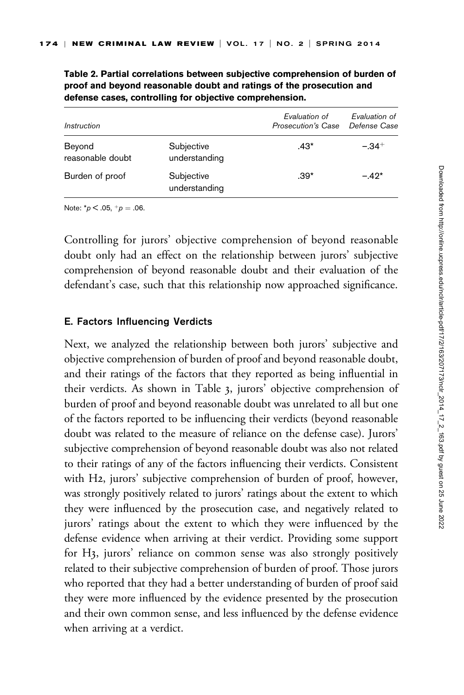| Instruction                |                             | Evaluation of<br><b>Prosecution's Case</b> | Evaluation of<br>Defense Case |
|----------------------------|-----------------------------|--------------------------------------------|-------------------------------|
| Beyond<br>reasonable doubt | Subjective<br>understanding | $.43*$                                     | $-.34+$                       |
| Burden of proof            | Subjective<br>understanding | $.39*$                                     | $-.42*$                       |

Table 2. Partial correlations between subjective comprehension of burden of proof and beyond reasonable doubt and ratings of the prosecution and defense cases, controlling for objective comprehension.

Note:  $p < .05, \pm p = .06$ .

Controlling for jurors' objective comprehension of beyond reasonable doubt only had an effect on the relationship between jurors' subjective comprehension of beyond reasonable doubt and their evaluation of the defendant's case, such that this relationship now approached significance.

#### E. Factors Influencing Verdicts

Next, we analyzed the relationship between both jurors' subjective and objective comprehension of burden of proof and beyond reasonable doubt, and their ratings of the factors that they reported as being influential in their verdicts. As shown in Table 3, jurors' objective comprehension of burden of proof and beyond reasonable doubt was unrelated to all but one of the factors reported to be influencing their verdicts (beyond reasonable doubt was related to the measure of reliance on the defense case). Jurors' subjective comprehension of beyond reasonable doubt was also not related to their ratings of any of the factors influencing their verdicts. Consistent with H2, jurors' subjective comprehension of burden of proof, however, was strongly positively related to jurors' ratings about the extent to which they were influenced by the prosecution case, and negatively related to jurors' ratings about the extent to which they were influenced by the defense evidence when arriving at their verdict. Providing some support for H3, jurors' reliance on common sense was also strongly positively related to their subjective comprehension of burden of proof. Those jurors who reported that they had a better understanding of burden of proof said they were more influenced by the evidence presented by the prosecution and their own common sense, and less influenced by the defense evidence when arriving at a verdict.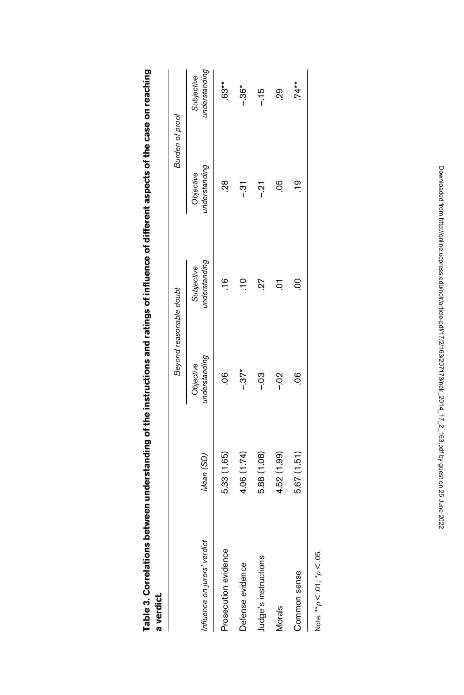| ֞֝֝֝֝֝֝֝֝֝֝֝֝֝֝<br>֪֝֝ <b>֝</b><br>֪֝֝ |  |
|----------------------------------------|--|
|                                        |  |
|                                        |  |
|                                        |  |
|                                        |  |
|                                        |  |
|                                        |  |
|                                        |  |
|                                        |  |
| i                                      |  |
|                                        |  |
|                                        |  |
|                                        |  |
|                                        |  |
|                                        |  |
|                                        |  |
|                                        |  |
|                                        |  |
| j                                      |  |
|                                        |  |
|                                        |  |
| $\overline{a}$                         |  |
|                                        |  |
|                                        |  |
|                                        |  |
|                                        |  |
|                                        |  |
|                                        |  |
|                                        |  |
|                                        |  |
|                                        |  |
|                                        |  |
|                                        |  |
|                                        |  |
|                                        |  |
|                                        |  |
|                                        |  |
|                                        |  |
|                                        |  |
|                                        |  |
|                                        |  |
| Tahle.<br>į                            |  |
|                                        |  |

|                              |             | Beyond reasonable doubt   |                             | <b>Burden of proof</b>     |                             |
|------------------------------|-------------|---------------------------|-----------------------------|----------------------------|-----------------------------|
| Influence on jurors' verdict | Mean (SD)   | mderstanding<br>Objective | understanding<br>Subjective | understanding<br>Objective | understanding<br>Subjective |
| Prosecution evidence         | 5.33 (1.65) | 9Ö                        | $\frac{6}{1}$               | 8                          | $.63**$                     |
| Defense evidence             | 4.06 (1.74) | $-37*$                    |                             | ین<br>ا                    | $-36*$                      |
| Judge's instructions         | 5.88 (1.08) | $-0.3$                    | 27                          | בן<br>ה                    | $-15$                       |
| <b>Morals</b>                | 4.52 (1.99) | $-0.2$                    | ō                           | 8Ò                         | QQ                          |
| Common sense                 | 5.67 (1.51) | 8Ö                        | S                           | <u>စု</u>                  | $.74**$                     |
|                              |             |                           |                             |                            |                             |

Note:  $*^{*}p < .01$ ;  $*p < .05$ . Note:  ${}^{**}p$   $<$  .01;  ${}^{*}p$   $<$  .05.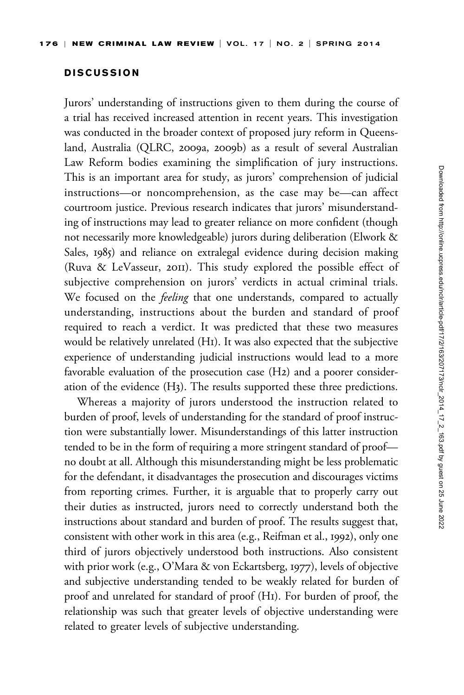### **DISCUSSION**

Jurors' understanding of instructions given to them during the course of a trial has received increased attention in recent years. This investigation was conducted in the broader context of proposed jury reform in Queensland, Australia (QLRC, 2009a, 2009b) as a result of several Australian Law Reform bodies examining the simplification of jury instructions. This is an important area for study, as jurors' comprehension of judicial instructions—or noncomprehension, as the case may be—can affect courtroom justice. Previous research indicates that jurors' misunderstanding of instructions may lead to greater reliance on more confident (though not necessarily more knowledgeable) jurors during deliberation (Elwork & Sales, 1985) and reliance on extralegal evidence during decision making (Ruva & LeVasseur, 2011). This study explored the possible effect of subjective comprehension on jurors' verdicts in actual criminal trials. We focused on the *feeling* that one understands, compared to actually understanding, instructions about the burden and standard of proof required to reach a verdict. It was predicted that these two measures would be relatively unrelated (H1). It was also expected that the subjective experience of understanding judicial instructions would lead to a more favorable evaluation of the prosecution case (H2) and a poorer consideration of the evidence (H3). The results supported these three predictions.

Whereas a majority of jurors understood the instruction related to burden of proof, levels of understanding for the standard of proof instruction were substantially lower. Misunderstandings of this latter instruction tended to be in the form of requiring a more stringent standard of proof no doubt at all. Although this misunderstanding might be less problematic for the defendant, it disadvantages the prosecution and discourages victims from reporting crimes. Further, it is arguable that to properly carry out their duties as instructed, jurors need to correctly understand both the instructions about standard and burden of proof. The results suggest that, consistent with other work in this area (e.g., Reifman et al., 1992), only one third of jurors objectively understood both instructions. Also consistent with prior work (e.g., O'Mara & von Eckartsberg, 1977), levels of objective and subjective understanding tended to be weakly related for burden of proof and unrelated for standard of proof (H1). For burden of proof, the relationship was such that greater levels of objective understanding were related to greater levels of subjective understanding.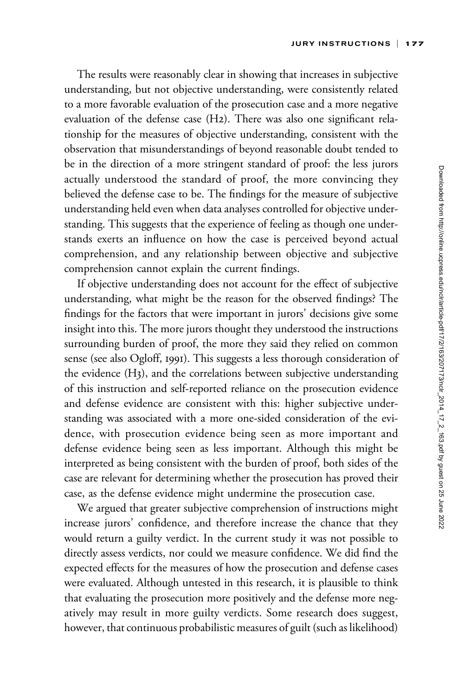The results were reasonably clear in showing that increases in subjective understanding, but not objective understanding, were consistently related to a more favorable evaluation of the prosecution case and a more negative evaluation of the defense case (H2). There was also one significant relationship for the measures of objective understanding, consistent with the observation that misunderstandings of beyond reasonable doubt tended to be in the direction of a more stringent standard of proof: the less jurors actually understood the standard of proof, the more convincing they believed the defense case to be. The findings for the measure of subjective understanding held even when data analyses controlled for objective understanding. This suggests that the experience of feeling as though one understands exerts an influence on how the case is perceived beyond actual comprehension, and any relationship between objective and subjective comprehension cannot explain the current findings.

If objective understanding does not account for the effect of subjective understanding, what might be the reason for the observed findings? The findings for the factors that were important in jurors' decisions give some insight into this. The more jurors thought they understood the instructions surrounding burden of proof, the more they said they relied on common sense (see also Ogloff, 1991). This suggests a less thorough consideration of the evidence (H3), and the correlations between subjective understanding of this instruction and self-reported reliance on the prosecution evidence and defense evidence are consistent with this: higher subjective understanding was associated with a more one-sided consideration of the evidence, with prosecution evidence being seen as more important and defense evidence being seen as less important. Although this might be interpreted as being consistent with the burden of proof, both sides of the case are relevant for determining whether the prosecution has proved their case, as the defense evidence might undermine the prosecution case.

We argued that greater subjective comprehension of instructions might increase jurors' confidence, and therefore increase the chance that they would return a guilty verdict. In the current study it was not possible to directly assess verdicts, nor could we measure confidence. We did find the expected effects for the measures of how the prosecution and defense cases were evaluated. Although untested in this research, it is plausible to think that evaluating the prosecution more positively and the defense more negatively may result in more guilty verdicts. Some research does suggest, however, that continuous probabilistic measures of guilt (such as likelihood)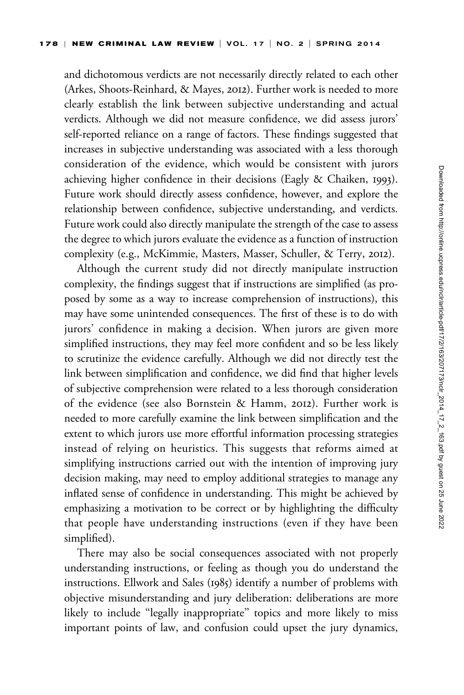and dichotomous verdicts are not necessarily directly related to each other (Arkes, Shoots-Reinhard, & Mayes, 2012). Further work is needed to more clearly establish the link between subjective understanding and actual verdicts. Although we did not measure confidence, we did assess jurors' self-reported reliance on a range of factors. These findings suggested that increases in subjective understanding was associated with a less thorough consideration of the evidence, which would be consistent with jurors achieving higher confidence in their decisions (Eagly & Chaiken, 1993). Future work should directly assess confidence, however, and explore the relationship between confidence, subjective understanding, and verdicts. Future work could also directly manipulate the strength of the case to assess the degree to which jurors evaluate the evidence as a function of instruction complexity (e.g., McKimmie, Masters, Masser, Schuller, & Terry, 2012).

Although the current study did not directly manipulate instruction complexity, the findings suggest that if instructions are simplified (as proposed by some as a way to increase comprehension of instructions), this may have some unintended consequences. The first of these is to do with jurors' confidence in making a decision. When jurors are given more simplified instructions, they may feel more confident and so be less likely to scrutinize the evidence carefully. Although we did not directly test the link between simplification and confidence, we did find that higher levels of subjective comprehension were related to a less thorough consideration of the evidence (see also Bornstein & Hamm, 2012). Further work is needed to more carefully examine the link between simplification and the extent to which jurors use more effortful information processing strategies instead of relying on heuristics. This suggests that reforms aimed at simplifying instructions carried out with the intention of improving jury decision making, may need to employ additional strategies to manage any inflated sense of confidence in understanding. This might be achieved by emphasizing a motivation to be correct or by highlighting the difficulty that people have understanding instructions (even if they have been simplified).

There may also be social consequences associated with not properly understanding instructions, or feeling as though you do understand the instructions. Ellwork and Sales (1985) identify a number of problems with objective misunderstanding and jury deliberation: deliberations are more likely to include ''legally inappropriate'' topics and more likely to miss important points of law, and confusion could upset the jury dynamics,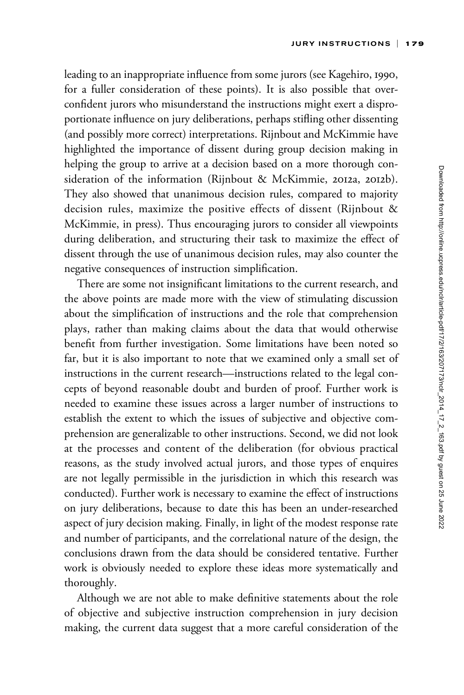leading to an inappropriate influence from some jurors (see Kagehiro, 1990, for a fuller consideration of these points). It is also possible that overconfident jurors who misunderstand the instructions might exert a disproportionate influence on jury deliberations, perhaps stifling other dissenting (and possibly more correct) interpretations. Rijnbout and McKimmie have highlighted the importance of dissent during group decision making in helping the group to arrive at a decision based on a more thorough consideration of the information (Rijnbout & McKimmie, 2012a, 2012b). They also showed that unanimous decision rules, compared to majority decision rules, maximize the positive effects of dissent (Rijnbout & McKimmie, in press). Thus encouraging jurors to consider all viewpoints during deliberation, and structuring their task to maximize the effect of dissent through the use of unanimous decision rules, may also counter the negative consequences of instruction simplification.

There are some not insignificant limitations to the current research, and the above points are made more with the view of stimulating discussion about the simplification of instructions and the role that comprehension plays, rather than making claims about the data that would otherwise benefit from further investigation. Some limitations have been noted so far, but it is also important to note that we examined only a small set of instructions in the current research—instructions related to the legal concepts of beyond reasonable doubt and burden of proof. Further work is needed to examine these issues across a larger number of instructions to establish the extent to which the issues of subjective and objective comprehension are generalizable to other instructions. Second, we did not look at the processes and content of the deliberation (for obvious practical reasons, as the study involved actual jurors, and those types of enquires are not legally permissible in the jurisdiction in which this research was conducted). Further work is necessary to examine the effect of instructions on jury deliberations, because to date this has been an under-researched aspect of jury decision making. Finally, in light of the modest response rate and number of participants, and the correlational nature of the design, the conclusions drawn from the data should be considered tentative. Further work is obviously needed to explore these ideas more systematically and thoroughly.

Although we are not able to make definitive statements about the role of objective and subjective instruction comprehension in jury decision making, the current data suggest that a more careful consideration of the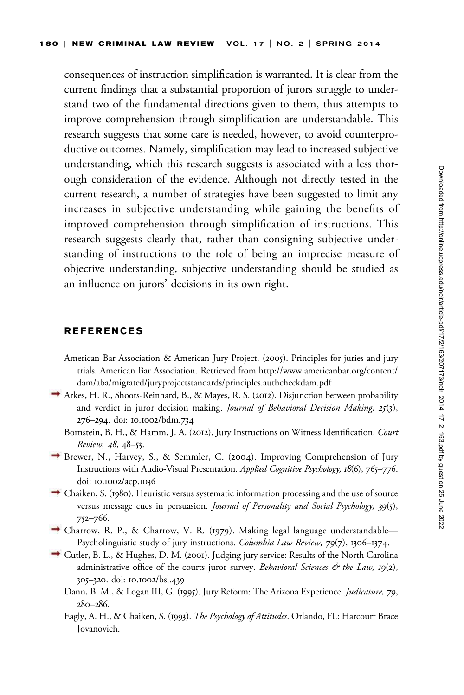consequences of instruction simplification is warranted. It is clear from the current findings that a substantial proportion of jurors struggle to understand two of the fundamental directions given to them, thus attempts to improve comprehension through simplification are understandable. This research suggests that some care is needed, however, to avoid counterproductive outcomes. Namely, simplification may lead to increased subjective understanding, which this research suggests is associated with a less thorough consideration of the evidence. Although not directly tested in the current research, a number of strategies have been suggested to limit any increases in subjective understanding while gaining the benefits of improved comprehension through simplification of instructions. This research suggests clearly that, rather than consigning subjective understanding of instructions to the role of being an imprecise measure of objective understanding, subjective understanding should be studied as an influence on jurors' decisions in its own right.

#### REFERENCES

- American Bar Association & American Jury Project. (2005). Principles for juries and jury trials. American Bar Association. Retrieved from http://www.americanbar.org/content/ dam/aba/migrated/juryprojectstandards/principles.authcheckdam.pdf
- Arkes, H. R., Shoots-Reinhard, B., & Mayes, R. S. (2012). Disjunction between probability and verdict in juror decision making. Journal of Behavioral Decision Making, 25(3), 276–294. doi: 10.1002/bdm.734
	- Bornstein, B. H., & Hamm, J. A. (2012). Jury Instructions on Witness Identification. Court Review, 48, 48–53.
- Brewer, N., Harvey, S., & Semmler, C. (2004). Improving Comprehension of Jury Instructions with Audio-Visual Presentation. Applied Cognitive Psychology, 18(6), 765-776. doi: 10.1002/acp.1036
- Chaiken, S. (1980). Heuristic versus systematic information processing and the use of source versus message cues in persuasion. Journal of Personality and Social Psychology, 39(5), 752–766.
- Charrow, R. P., & Charrow, V. R. (1979). Making legal language understandable— Psycholinguistic study of jury instructions. Columbia Law Review, 79(7), 1306–1374.
- Cutler, B. L., & Hughes, D. M. (2001). Judging jury service: Results of the North Carolina administrative office of the courts juror survey. Behavioral Sciences  $\phi$  the Law, 19(2), 305–320. doi: 10.1002/bsl.439
	- Dann, B. M., & Logan III, G. (1995). Jury Reform: The Arizona Experience. *Judicature*, 79, 280–286.
	- Eagly, A. H., & Chaiken, S. (1993). The Psychology of Attitudes. Orlando, FL: Harcourt Brace Jovanovich.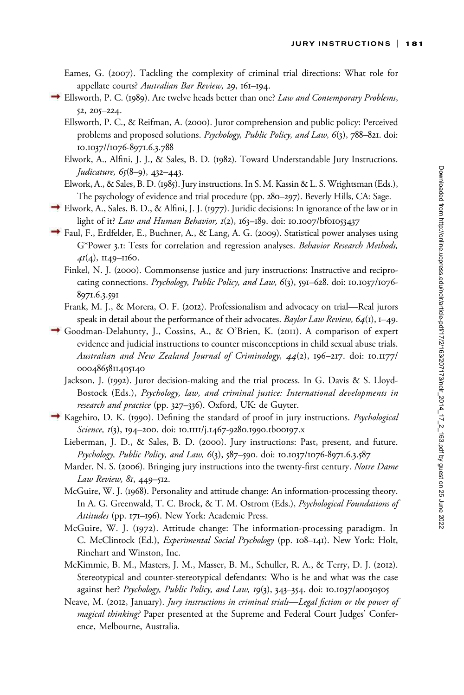- Eames, G. (2007). Tackling the complexity of criminal trial directions: What role for appellate courts? Australian Bar Review, 29, 161-194.
- Ellsworth, P. C. (1989). Are twelve heads better than one? Law and Contemporary Problems, 52, 205–224.
	- Ellsworth, P. C., & Reifman, A. (2000). Juror comprehension and public policy: Perceived problems and proposed solutions. Psychology, Public Policy, and Law, 6(3), 788–821. doi: 10.1037//1076-8971.6.3.788
	- Elwork, A., Alfini, J. J., & Sales, B. D. (1982). Toward Understandable Jury Instructions. Judicature, 65(8-9), 432-443.
	- Elwork, A., & Sales, B. D. (1985). Jury instructions. In S.M. Kassin & L. S.Wrightsman (Eds.), The psychology of evidence and trial procedure (pp. 280–297). Beverly Hills, CA: Sage.
- Elwork, A., Sales, B. D., & Alfini, J. J. (1977). Juridic decisions: In ignorance of the law or in light of it? Law and Human Behavior,  $I(2)$ , 163–189. doi: 10.1007/bf01053437
- $\rightarrow$  Faul, F., Erdfelder, E., Buchner, A., & Lang, A. G. (2009). Statistical power analyses using G\*Power 3.1: Tests for correlation and regression analyses. Behavior Research Methods,  $4I(4)$ , 1149–1160.
	- Finkel, N. J. (2000). Commonsense justice and jury instructions: Instructive and reciprocating connections. Psychology, Public Policy, and Law, 6(3), 591-628. doi: 10.1037/1076-8971.6.3.591
	- Frank, M. J., & Morera, O. F. (2012). Professionalism and advocacy on trial—Real jurors speak in detail about the performance of their advocates. Baylor Law Review,  $64(1)$ , 1–49.
- Goodman-Delahunty, J., Cossins, A., & O'Brien, K. (2011). A comparison of expert evidence and judicial instructions to counter misconceptions in child sexual abuse trials. Australian and New Zealand Journal of Criminology, 44(2), 196–217. doi: 10.1177/ 0004865811405140
	- Jackson, J. (1992). Juror decision-making and the trial process. In G. Davis & S. Lloyd-Bostock (Eds.), Psychology, law, and criminal justice: International developments in research and practice (pp. 327-336). Oxford, UK: de Guyter.
- $\rightarrow$  Kagehiro, D. K. (1990). Defining the standard of proof in jury instructions. *Psychological* Science, 1(3), 194-200. doi: 10.1111/j.1467-9280.1990.tb00197.x
	- Lieberman, J. D., & Sales, B. D. (2000). Jury instructions: Past, present, and future. Psychology, Public Policy, and Law, 6(3), 587-590. doi: 10.1037/1076-8971.6.3.587
	- Marder, N. S. (2006). Bringing jury instructions into the twenty-first century. Notre Dame Law Review, 81, 449–512.
	- McGuire, W. J. (1968). Personality and attitude change: An information-processing theory. In A. G. Greenwald, T. C. Brock, & T. M. Ostrom (Eds.), Psychological Foundations of Attitudes (pp. 171-196). New York: Academic Press.
	- McGuire, W. J. (1972). Attitude change: The information-processing paradigm. In C. McClintock (Ed.), Experimental Social Psychology (pp. 108–141). New York: Holt, Rinehart and Winston, Inc.
	- McKimmie, B. M., Masters, J. M., Masser, B. M., Schuller, R. A., & Terry, D. J. (2012). Stereotypical and counter-stereotypical defendants: Who is he and what was the case against her? Psychology, Public Policy, and Law, 19(3), 343-354. doi: 10.1037/a0030505
	- Neave, M. (2012, January). Jury instructions in criminal trials--Legal fiction or the power of magical thinking? Paper presented at the Supreme and Federal Court Judges' Conference, Melbourne, Australia.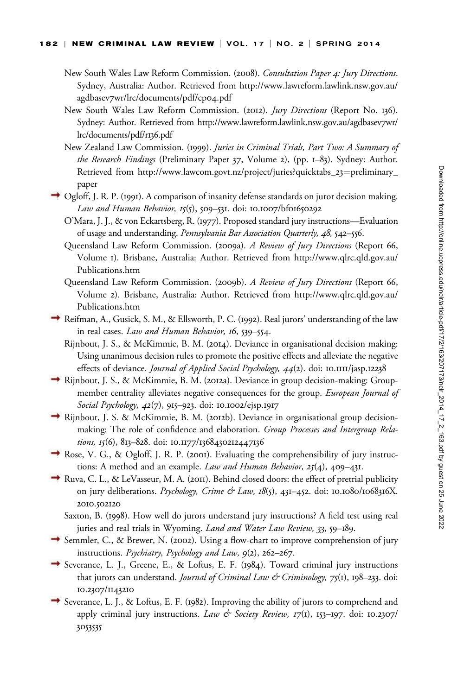#### 182 | NEW CRIMINAL LAW REVIEW | VOL. 17 | NO. 2 | SPRING 2014

- New South Wales Law Reform Commission. (2008). Consultation Paper 4: Jury Directions. Sydney, Australia: Author. Retrieved from [http://www.lawreform.lawlink.nsw.gov.au/](http://www.lawreform.lawlink.nsw.gov.au/agdbasev7wr/lrc/documents/pdf/cp04.pdf) agdbasev7[wr/lrc/documents/pdf/cp](http://www.lawreform.lawlink.nsw.gov.au/agdbasev7wr/lrc/documents/pdf/cp04.pdf)04.pdf
- New South Wales Law Reform Commission. (2012). Jury Directions (Report No. 136). Sydney: Author. Retrieved from [http://www.lawreform.lawlink.nsw.gov.au/agdbasev](http://www.lawreform.lawlink.nsw.gov.au/agdbasev7wr/lrc/documents/pdf/r136.pdf)7wr/ [lrc/documents/pdf/r](http://www.lawreform.lawlink.nsw.gov.au/agdbasev7wr/lrc/documents/pdf/r136.pdf)136.pdf
- New Zealand Law Commission. (1999). Juries in Criminal Trials, Part Two: A Summary of the Research Findings (Preliminary Paper 37, Volume 2), (pp. 1-83). Sydney: Author. Retrieved from [http://www.lawcom.govt.nz/project/juries?quicktabs\\_](http://www.lawcom.govt.nz/project/juries?quicktabs_23=preliminary_paper)23=[preliminary\\_](http://www.lawcom.govt.nz/project/juries?quicktabs_23=preliminary_paper) [paper](http://www.lawcom.govt.nz/project/juries?quicktabs_23=preliminary_paper)
- Ogloff, J. R. P. (1991). A comparison of insanity defense standards on juror decision making. Law and Human Behavior, 15(5), 509-531. doi: 10.1007/bf01650292
	- O'Mara, J. J., & von Eckartsberg, R. (1977). Proposed standard jury instructions—Evaluation of usage and understanding. Pennsylvania Bar Association Quarterly, 48, 542–556.
	- Queensland Law Reform Commission. (2009a). A Review of Jury Directions (Report 66, Volume 1). Brisbane, Australia: Author. Retrieved from [http://www.qlrc.qld.gov.au/](http://www.qlrc.qld.gov.au/Publications.htm) [Publications.htm](http://www.qlrc.qld.gov.au/Publications.htm)
	- Queensland Law Reform Commission. (2009b). A Review of Jury Directions (Report 66, Volume 2). Brisbane, Australia: Author. Retrieved from [http://www.qlrc.qld.gov.au/](http://www.qlrc.qld.gov.au/Publications.htm) [Publications.htm](http://www.qlrc.qld.gov.au/Publications.htm)
- $\rightarrow$  Reifman, A., Gusick, S. M., & Ellsworth, P. C. (1992). Real jurors' understanding of the law in real cases. Law and Human Behavior, 16, 539-554.
	- Rijnbout, J. S., & McKimmie, B. M. (2014). Deviance in organisational decision making: Using unanimous decision rules to promote the positive effects and alleviate the negative effects of deviance. Journal of Applied Social Psychology, 44(2). doi: 10.1111/jasp.12238
- $\rightarrow$  Rijnbout, J. S., & McKimmie, B. M. (2012a). Deviance in group decision-making: Groupmember centrality alleviates negative consequences for the group. *European Journal of* Social Psychology, 42(7), 915–923. doi: 10.1002/ejsp.1917
- $\rightarrow$  Rijnbout, J. S. & McKimmie, B. M. (2012b). Deviance in organisational group decisionmaking: The role of confidence and elaboration. Group Processes and Intergroup Relations, 15(6), 813–828. doi: 10.1177/1368430212447136
- Rose, V. G., & Ogloff, J. R. P. (2001). Evaluating the comprehensibility of jury instructions: A method and an example. Law and Human Behavior,  $25(4)$ ,  $409-431$ .
- Ruva, C. L., & LeVasseur, M. A. (2011). Behind closed doors: the effect of pretrial publicity on jury deliberations. Psychology, Crime & Law,  $18(5)$ ,  $431-452$ . doi: 10.1080/1068316X. 2010.502120

Saxton, B. (1998). How well do jurors understand jury instructions? A field test using real juries and real trials in Wyoming. Land and Water Law Review, 33, 59–189.

- Semmler, C., & Brewer, N. (2002). Using a flow-chart to improve comprehension of jury instructions. Psychiatry, Psychology and Law,  $9(2)$ ,  $262-267$ .
- Severance, L. J., Greene, E., & Loftus, E. F. (1984). Toward criminal jury instructions that jurors can understand. *Journal of Criminal Law & Criminology*,  $75(1)$ , 198–233. doi: 10.2307/1143210
- Severance, L. J., & Loftus, E. F. (1982). Improving the ability of jurors to comprehend and apply criminal jury instructions. Law & Society Review,  $17(1)$ , 153-197. doi: 10.2307/ 3053535